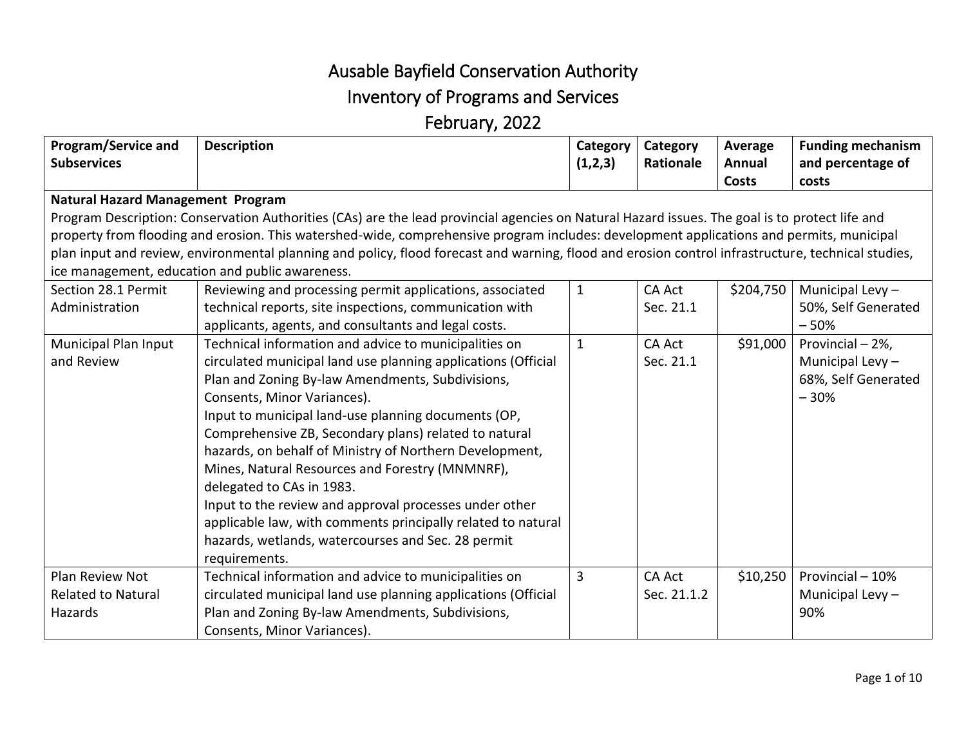## Ausable Bayfield Conservation Authority Inventory of Programs and Services February, 2022

| Program/Service and                                                                                                                            | <b>Description</b>                                                                                                                                 | Category     | Category      | Average   | <b>Funding mechanism</b> |  |
|------------------------------------------------------------------------------------------------------------------------------------------------|----------------------------------------------------------------------------------------------------------------------------------------------------|--------------|---------------|-----------|--------------------------|--|
| <b>Subservices</b>                                                                                                                             |                                                                                                                                                    | (1,2,3)      | Rationale     | Annual    | and percentage of        |  |
|                                                                                                                                                |                                                                                                                                                    |              |               | Costs     | costs                    |  |
| <b>Natural Hazard Management Program</b>                                                                                                       |                                                                                                                                                    |              |               |           |                          |  |
| Program Description: Conservation Authorities (CAs) are the lead provincial agencies on Natural Hazard issues. The goal is to protect life and |                                                                                                                                                    |              |               |           |                          |  |
| property from flooding and erosion. This watershed-wide, comprehensive program includes: development applications and permits, municipal       |                                                                                                                                                    |              |               |           |                          |  |
|                                                                                                                                                | plan input and review, environmental planning and policy, flood forecast and warning, flood and erosion control infrastructure, technical studies, |              |               |           |                          |  |
|                                                                                                                                                | ice management, education and public awareness.                                                                                                    |              |               |           |                          |  |
| Section 28.1 Permit                                                                                                                            | Reviewing and processing permit applications, associated                                                                                           | $\mathbf{1}$ | <b>CA Act</b> | \$204,750 | Municipal Levy-          |  |
| Administration                                                                                                                                 | technical reports, site inspections, communication with                                                                                            |              | Sec. 21.1     |           | 50%, Self Generated      |  |
|                                                                                                                                                | applicants, agents, and consultants and legal costs.                                                                                               |              |               |           | $-50%$                   |  |
| Municipal Plan Input                                                                                                                           | Technical information and advice to municipalities on                                                                                              | $\mathbf{1}$ | <b>CA Act</b> | \$91,000  | Provincial - 2%,         |  |
| and Review                                                                                                                                     | circulated municipal land use planning applications (Official                                                                                      |              | Sec. 21.1     |           | Municipal Levy-          |  |
|                                                                                                                                                | Plan and Zoning By-law Amendments, Subdivisions,                                                                                                   |              |               |           | 68%, Self Generated      |  |
|                                                                                                                                                | Consents, Minor Variances).                                                                                                                        |              |               |           | $-30%$                   |  |
|                                                                                                                                                | Input to municipal land-use planning documents (OP,                                                                                                |              |               |           |                          |  |
|                                                                                                                                                | Comprehensive ZB, Secondary plans) related to natural                                                                                              |              |               |           |                          |  |
|                                                                                                                                                | hazards, on behalf of Ministry of Northern Development,                                                                                            |              |               |           |                          |  |
|                                                                                                                                                | Mines, Natural Resources and Forestry (MNMNRF),                                                                                                    |              |               |           |                          |  |
|                                                                                                                                                | delegated to CAs in 1983.                                                                                                                          |              |               |           |                          |  |
|                                                                                                                                                | Input to the review and approval processes under other                                                                                             |              |               |           |                          |  |
|                                                                                                                                                | applicable law, with comments principally related to natural                                                                                       |              |               |           |                          |  |
|                                                                                                                                                | hazards, wetlands, watercourses and Sec. 28 permit                                                                                                 |              |               |           |                          |  |
|                                                                                                                                                | requirements.                                                                                                                                      |              |               |           |                          |  |
| Plan Review Not                                                                                                                                | Technical information and advice to municipalities on                                                                                              | 3            | <b>CA Act</b> | \$10,250  | Provincial - 10%         |  |
| <b>Related to Natural</b>                                                                                                                      | circulated municipal land use planning applications (Official                                                                                      |              | Sec. 21.1.2   |           | Municipal Levy -         |  |
| Hazards                                                                                                                                        | Plan and Zoning By-law Amendments, Subdivisions,                                                                                                   |              |               |           | 90%                      |  |
|                                                                                                                                                | Consents, Minor Variances).                                                                                                                        |              |               |           |                          |  |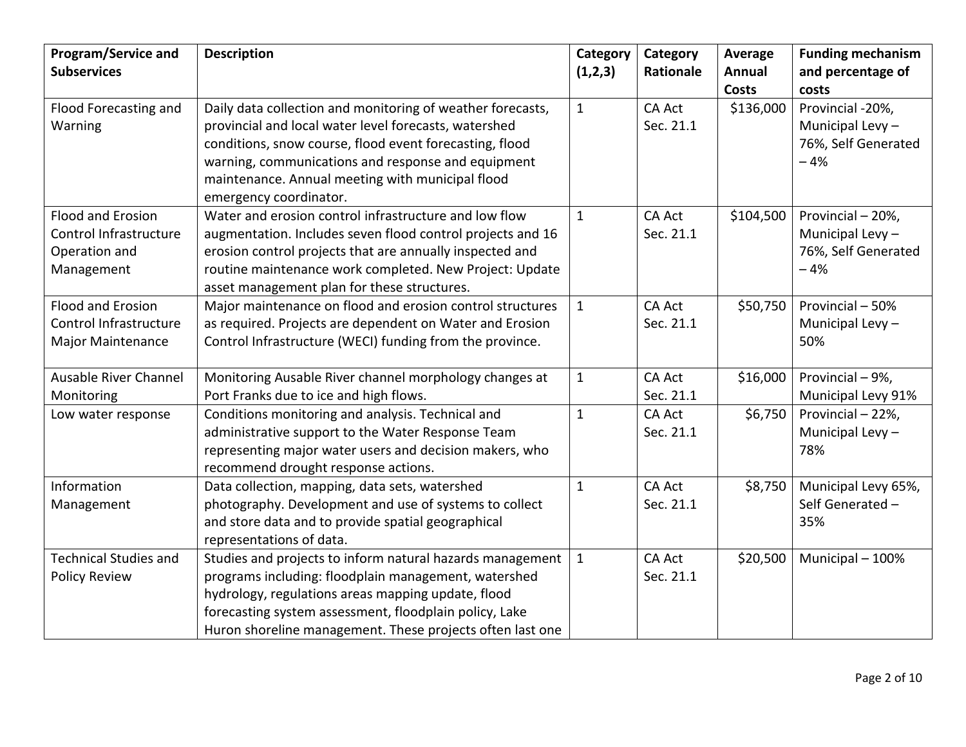| Program/Service and<br><b>Subservices</b>                                  | <b>Description</b>                                                                                                                                                                                                                                                                                                 | Category<br>(1,2,3) | Category<br>Rationale      | Average<br>Annual<br><b>Costs</b> | <b>Funding mechanism</b><br>and percentage of<br>costs               |
|----------------------------------------------------------------------------|--------------------------------------------------------------------------------------------------------------------------------------------------------------------------------------------------------------------------------------------------------------------------------------------------------------------|---------------------|----------------------------|-----------------------------------|----------------------------------------------------------------------|
| Flood Forecasting and<br>Warning                                           | Daily data collection and monitoring of weather forecasts,<br>provincial and local water level forecasts, watershed<br>conditions, snow course, flood event forecasting, flood<br>warning, communications and response and equipment<br>maintenance. Annual meeting with municipal flood<br>emergency coordinator. | $\mathbf{1}$        | <b>CA Act</b><br>Sec. 21.1 | \$136,000                         | Provincial -20%,<br>Municipal Levy -<br>76%, Self Generated<br>$-4%$ |
| Flood and Erosion<br>Control Infrastructure<br>Operation and<br>Management | Water and erosion control infrastructure and low flow<br>augmentation. Includes seven flood control projects and 16<br>erosion control projects that are annually inspected and<br>routine maintenance work completed. New Project: Update<br>asset management plan for these structures.                          | $\mathbf{1}$        | <b>CA Act</b><br>Sec. 21.1 | \$104,500                         | Provincial - 20%,<br>Municipal Levy-<br>76%, Self Generated<br>$-4%$ |
| Flood and Erosion<br>Control Infrastructure<br>Major Maintenance           | Major maintenance on flood and erosion control structures<br>as required. Projects are dependent on Water and Erosion<br>Control Infrastructure (WECI) funding from the province.                                                                                                                                  | $\mathbf{1}$        | <b>CA Act</b><br>Sec. 21.1 | \$50,750                          | Provincial - 50%<br>Municipal Levy-<br>50%                           |
| Ausable River Channel<br>Monitoring                                        | Monitoring Ausable River channel morphology changes at<br>Port Franks due to ice and high flows.                                                                                                                                                                                                                   | $\mathbf{1}$        | <b>CA Act</b><br>Sec. 21.1 | \$16,000                          | Provincial - 9%,<br>Municipal Levy 91%                               |
| Low water response                                                         | Conditions monitoring and analysis. Technical and<br>administrative support to the Water Response Team<br>representing major water users and decision makers, who<br>recommend drought response actions.                                                                                                           | $\mathbf{1}$        | <b>CA Act</b><br>Sec. 21.1 | \$6,750                           | Provincial - 22%,<br>Municipal Levy-<br>78%                          |
| Information<br>Management                                                  | Data collection, mapping, data sets, watershed<br>photography. Development and use of systems to collect<br>and store data and to provide spatial geographical<br>representations of data.                                                                                                                         | $\mathbf{1}$        | <b>CA Act</b><br>Sec. 21.1 | \$8,750                           | Municipal Levy 65%,<br>Self Generated -<br>35%                       |
| <b>Technical Studies and</b><br><b>Policy Review</b>                       | Studies and projects to inform natural hazards management<br>programs including: floodplain management, watershed<br>hydrology, regulations areas mapping update, flood<br>forecasting system assessment, floodplain policy, Lake<br>Huron shoreline management. These projects often last one                     | $\mathbf{1}$        | <b>CA Act</b><br>Sec. 21.1 | \$20,500                          | Municipal - 100%                                                     |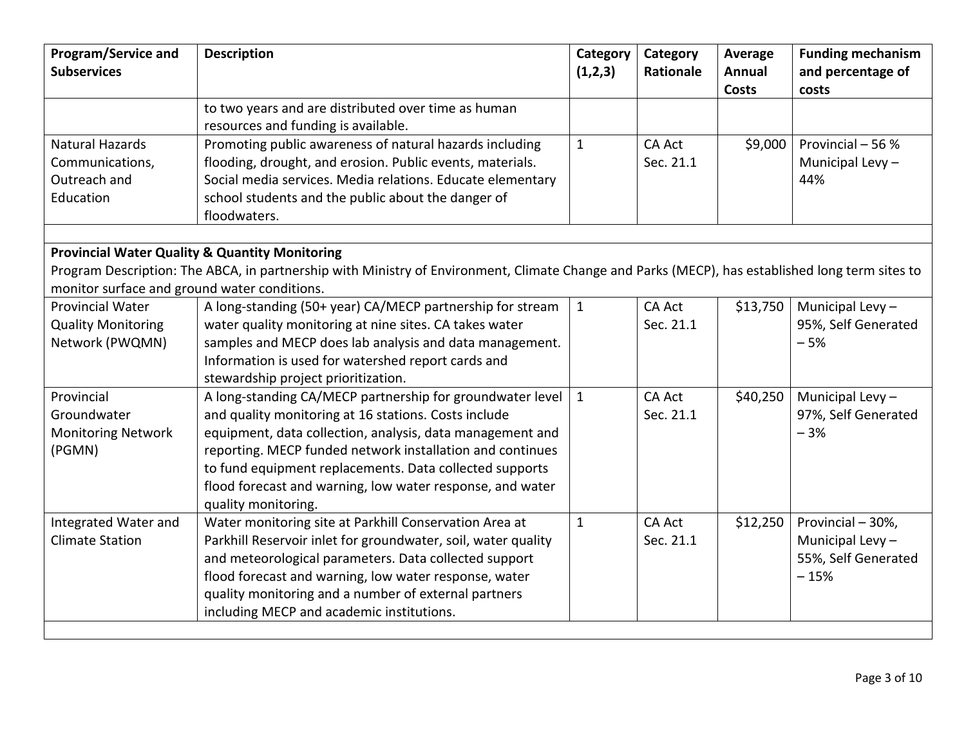| Program/Service and<br><b>Subservices</b>    | <b>Description</b>                                                                                                                              | Category<br>(1,2,3) | Category<br>Rationale | Average<br>Annual | <b>Funding mechanism</b><br>and percentage of |
|----------------------------------------------|-------------------------------------------------------------------------------------------------------------------------------------------------|---------------------|-----------------------|-------------------|-----------------------------------------------|
|                                              | to two years and are distributed over time as human                                                                                             |                     |                       | <b>Costs</b>      | costs                                         |
|                                              | resources and funding is available.                                                                                                             |                     |                       |                   |                                               |
| <b>Natural Hazards</b>                       | Promoting public awareness of natural hazards including                                                                                         | $\mathbf{1}$        | <b>CA Act</b>         | \$9,000           | Provincial - 56 %                             |
| Communications,                              | flooding, drought, and erosion. Public events, materials.                                                                                       |                     | Sec. 21.1             |                   | Municipal Levy-                               |
| Outreach and                                 | Social media services. Media relations. Educate elementary                                                                                      |                     |                       |                   | 44%                                           |
| Education                                    | school students and the public about the danger of                                                                                              |                     |                       |                   |                                               |
|                                              | floodwaters.                                                                                                                                    |                     |                       |                   |                                               |
|                                              |                                                                                                                                                 |                     |                       |                   |                                               |
|                                              | <b>Provincial Water Quality &amp; Quantity Monitoring</b>                                                                                       |                     |                       |                   |                                               |
|                                              | Program Description: The ABCA, in partnership with Ministry of Environment, Climate Change and Parks (MECP), has established long term sites to |                     |                       |                   |                                               |
| monitor surface and ground water conditions. |                                                                                                                                                 |                     |                       |                   |                                               |
| <b>Provincial Water</b>                      | A long-standing (50+ year) CA/MECP partnership for stream                                                                                       | $\mathbf{1}$        | <b>CA Act</b>         | \$13,750          | Municipal Levy-                               |
| <b>Quality Monitoring</b>                    | water quality monitoring at nine sites. CA takes water                                                                                          |                     | Sec. 21.1             |                   | 95%, Self Generated                           |
| Network (PWQMN)                              | samples and MECP does lab analysis and data management.                                                                                         |                     |                       |                   | $-5%$                                         |
|                                              | Information is used for watershed report cards and                                                                                              |                     |                       |                   |                                               |
|                                              | stewardship project prioritization.                                                                                                             |                     |                       |                   |                                               |
| Provincial                                   | A long-standing CA/MECP partnership for groundwater level                                                                                       | $\mathbf{1}$        | <b>CA Act</b>         | \$40,250          | Municipal Levy-                               |
| Groundwater                                  | and quality monitoring at 16 stations. Costs include                                                                                            |                     | Sec. 21.1             |                   | 97%, Self Generated                           |
| <b>Monitoring Network</b>                    | equipment, data collection, analysis, data management and                                                                                       |                     |                       |                   | $-3%$                                         |
| (PGMN)                                       | reporting. MECP funded network installation and continues                                                                                       |                     |                       |                   |                                               |
|                                              | to fund equipment replacements. Data collected supports                                                                                         |                     |                       |                   |                                               |
|                                              | flood forecast and warning, low water response, and water                                                                                       |                     |                       |                   |                                               |
|                                              | quality monitoring.                                                                                                                             |                     |                       |                   |                                               |
| Integrated Water and                         | Water monitoring site at Parkhill Conservation Area at                                                                                          | $\mathbf{1}$        | <b>CA Act</b>         | \$12,250          | Provincial - 30%,                             |
| <b>Climate Station</b>                       | Parkhill Reservoir inlet for groundwater, soil, water quality                                                                                   |                     | Sec. 21.1             |                   | Municipal Levy-                               |
|                                              | and meteorological parameters. Data collected support                                                                                           |                     |                       |                   | 55%, Self Generated                           |
|                                              | flood forecast and warning, low water response, water                                                                                           |                     |                       |                   | $-15%$                                        |
|                                              | quality monitoring and a number of external partners                                                                                            |                     |                       |                   |                                               |
|                                              | including MECP and academic institutions.                                                                                                       |                     |                       |                   |                                               |
|                                              |                                                                                                                                                 |                     |                       |                   |                                               |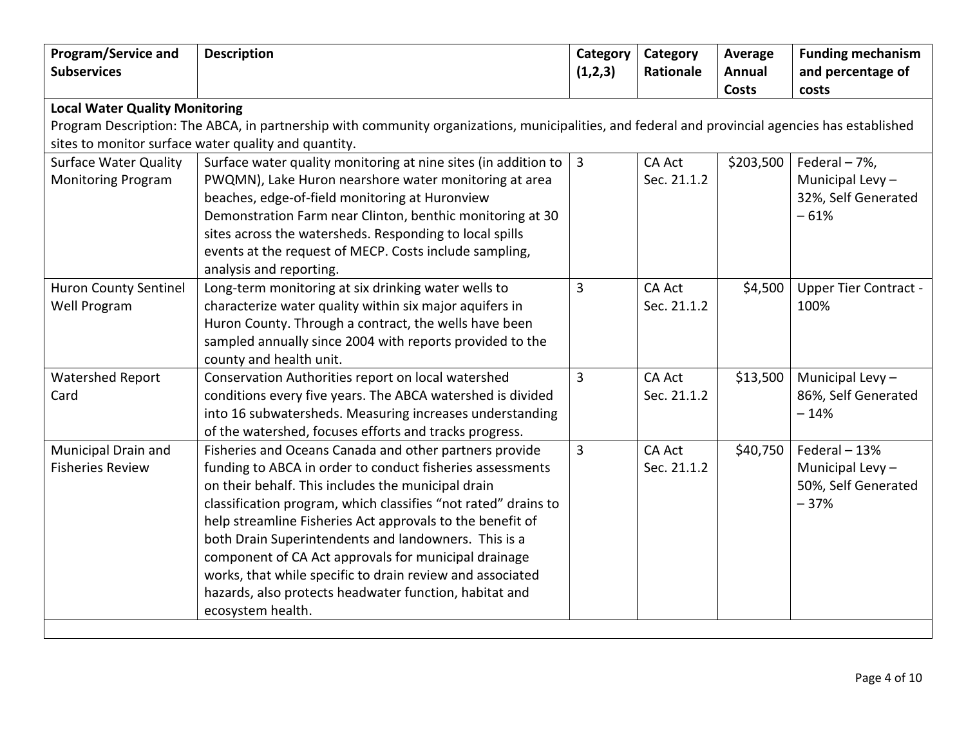| <b>Program/Service and</b>                           | <b>Description</b>                                                                                                                              | Category       | Category      | Average       | <b>Funding mechanism</b>     |  |
|------------------------------------------------------|-------------------------------------------------------------------------------------------------------------------------------------------------|----------------|---------------|---------------|------------------------------|--|
| <b>Subservices</b>                                   |                                                                                                                                                 | (1,2,3)        | Rationale     | <b>Annual</b> | and percentage of            |  |
|                                                      |                                                                                                                                                 |                |               | <b>Costs</b>  | costs                        |  |
| <b>Local Water Quality Monitoring</b>                |                                                                                                                                                 |                |               |               |                              |  |
|                                                      | Program Description: The ABCA, in partnership with community organizations, municipalities, and federal and provincial agencies has established |                |               |               |                              |  |
| sites to monitor surface water quality and quantity. |                                                                                                                                                 |                |               |               |                              |  |
| <b>Surface Water Quality</b>                         | Surface water quality monitoring at nine sites (in addition to                                                                                  | $\overline{3}$ | <b>CA Act</b> | \$203,500     | Federal - 7%,                |  |
| <b>Monitoring Program</b>                            | PWQMN), Lake Huron nearshore water monitoring at area                                                                                           |                | Sec. 21.1.2   |               | Municipal Levy $-$           |  |
|                                                      | beaches, edge-of-field monitoring at Huronview                                                                                                  |                |               |               | 32%, Self Generated          |  |
|                                                      | Demonstration Farm near Clinton, benthic monitoring at 30                                                                                       |                |               |               | $-61%$                       |  |
|                                                      | sites across the watersheds. Responding to local spills                                                                                         |                |               |               |                              |  |
|                                                      | events at the request of MECP. Costs include sampling,                                                                                          |                |               |               |                              |  |
|                                                      | analysis and reporting.                                                                                                                         |                |               |               |                              |  |
| <b>Huron County Sentinel</b>                         | Long-term monitoring at six drinking water wells to                                                                                             | $\overline{3}$ | <b>CA Act</b> | \$4,500       | <b>Upper Tier Contract -</b> |  |
| Well Program                                         | characterize water quality within six major aquifers in                                                                                         |                | Sec. 21.1.2   |               | 100%                         |  |
|                                                      | Huron County. Through a contract, the wells have been                                                                                           |                |               |               |                              |  |
|                                                      | sampled annually since 2004 with reports provided to the                                                                                        |                |               |               |                              |  |
|                                                      | county and health unit.                                                                                                                         |                |               |               |                              |  |
| <b>Watershed Report</b>                              | Conservation Authorities report on local watershed                                                                                              | $\overline{3}$ | <b>CA Act</b> | \$13,500      | Municipal Levy $-$           |  |
| Card                                                 | conditions every five years. The ABCA watershed is divided                                                                                      |                | Sec. 21.1.2   |               | 86%, Self Generated          |  |
|                                                      | into 16 subwatersheds. Measuring increases understanding                                                                                        |                |               |               | $-14%$                       |  |
|                                                      | of the watershed, focuses efforts and tracks progress.                                                                                          |                |               |               |                              |  |
| Municipal Drain and                                  | Fisheries and Oceans Canada and other partners provide                                                                                          | 3              | <b>CA Act</b> | \$40,750      | Federal - 13%                |  |
| <b>Fisheries Review</b>                              | funding to ABCA in order to conduct fisheries assessments                                                                                       |                | Sec. 21.1.2   |               | Municipal Levy $-$           |  |
|                                                      | on their behalf. This includes the municipal drain                                                                                              |                |               |               | 50%, Self Generated          |  |
|                                                      | classification program, which classifies "not rated" drains to                                                                                  |                |               |               | $-37%$                       |  |
|                                                      | help streamline Fisheries Act approvals to the benefit of                                                                                       |                |               |               |                              |  |
|                                                      | both Drain Superintendents and landowners. This is a                                                                                            |                |               |               |                              |  |
|                                                      | component of CA Act approvals for municipal drainage                                                                                            |                |               |               |                              |  |
|                                                      | works, that while specific to drain review and associated                                                                                       |                |               |               |                              |  |
|                                                      | hazards, also protects headwater function, habitat and                                                                                          |                |               |               |                              |  |
|                                                      | ecosystem health.                                                                                                                               |                |               |               |                              |  |
|                                                      |                                                                                                                                                 |                |               |               |                              |  |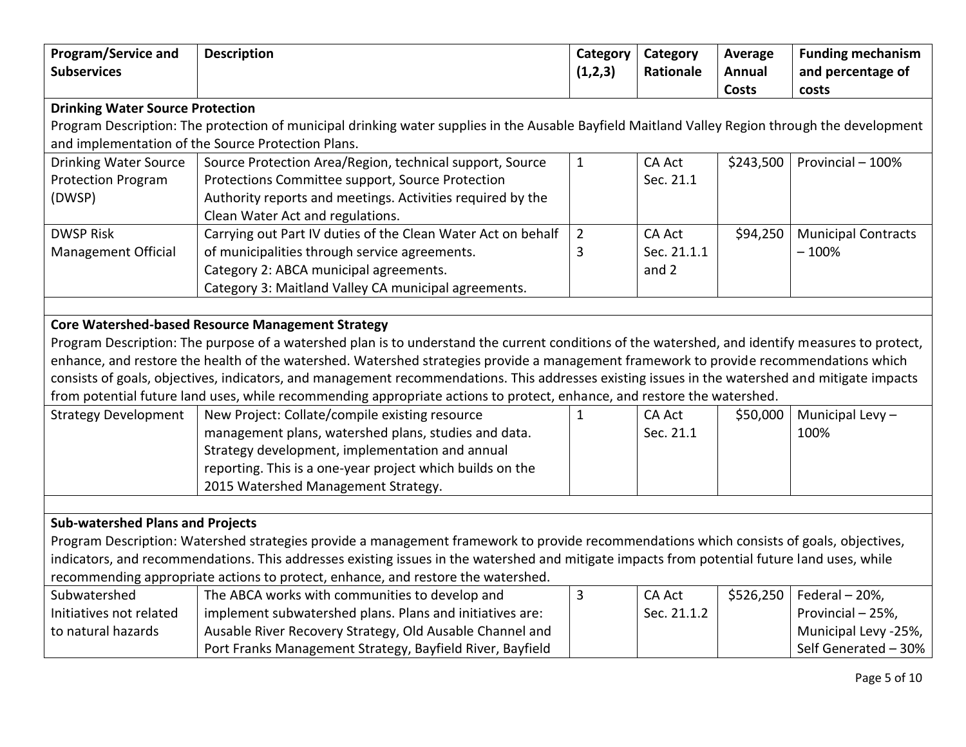| <b>Program/Service and</b>              | <b>Description</b>                                                                                                                               | <b>Category</b> | Category      | Average   | <b>Funding mechanism</b>   |  |
|-----------------------------------------|--------------------------------------------------------------------------------------------------------------------------------------------------|-----------------|---------------|-----------|----------------------------|--|
| <b>Subservices</b>                      |                                                                                                                                                  | (1,2,3)         | Rationale     | Annual    | and percentage of          |  |
|                                         |                                                                                                                                                  |                 |               | Costs     | costs                      |  |
| <b>Drinking Water Source Protection</b> |                                                                                                                                                  |                 |               |           |                            |  |
|                                         | Program Description: The protection of municipal drinking water supplies in the Ausable Bayfield Maitland Valley Region through the development  |                 |               |           |                            |  |
|                                         | and implementation of the Source Protection Plans.                                                                                               |                 |               |           |                            |  |
| <b>Drinking Water Source</b>            | Source Protection Area/Region, technical support, Source                                                                                         | $\mathbf{1}$    | <b>CA Act</b> | \$243,500 | Provincial - 100%          |  |
| <b>Protection Program</b>               | Protections Committee support, Source Protection                                                                                                 |                 | Sec. 21.1     |           |                            |  |
| (DWSP)                                  | Authority reports and meetings. Activities required by the                                                                                       |                 |               |           |                            |  |
|                                         | Clean Water Act and regulations.                                                                                                                 |                 |               |           |                            |  |
| <b>DWSP Risk</b>                        | Carrying out Part IV duties of the Clean Water Act on behalf                                                                                     | $\overline{2}$  | <b>CA Act</b> | \$94,250  | <b>Municipal Contracts</b> |  |
| <b>Management Official</b>              | of municipalities through service agreements.                                                                                                    | 3               | Sec. 21.1.1   |           | $-100%$                    |  |
|                                         | Category 2: ABCA municipal agreements.                                                                                                           |                 | and 2         |           |                            |  |
|                                         | Category 3: Maitland Valley CA municipal agreements.                                                                                             |                 |               |           |                            |  |
|                                         |                                                                                                                                                  |                 |               |           |                            |  |
|                                         | <b>Core Watershed-based Resource Management Strategy</b>                                                                                         |                 |               |           |                            |  |
|                                         | Program Description: The purpose of a watershed plan is to understand the current conditions of the watershed, and identify measures to protect, |                 |               |           |                            |  |
|                                         | enhance, and restore the health of the watershed. Watershed strategies provide a management framework to provide recommendations which           |                 |               |           |                            |  |
|                                         | consists of goals, objectives, indicators, and management recommendations. This addresses existing issues in the watershed and mitigate impacts  |                 |               |           |                            |  |
|                                         | from potential future land uses, while recommending appropriate actions to protect, enhance, and restore the watershed.                          |                 |               |           |                            |  |
| <b>Strategy Development</b>             | New Project: Collate/compile existing resource                                                                                                   | $\mathbf{1}$    | <b>CA Act</b> | \$50,000  | Municipal Levy-            |  |
|                                         | management plans, watershed plans, studies and data.                                                                                             |                 | Sec. 21.1     |           | 100%                       |  |
|                                         | Strategy development, implementation and annual                                                                                                  |                 |               |           |                            |  |
|                                         | reporting. This is a one-year project which builds on the                                                                                        |                 |               |           |                            |  |
|                                         | 2015 Watershed Management Strategy.                                                                                                              |                 |               |           |                            |  |
|                                         |                                                                                                                                                  |                 |               |           |                            |  |
| <b>Sub-watershed Plans and Projects</b> |                                                                                                                                                  |                 |               |           |                            |  |
|                                         | Program Description: Watershed strategies provide a management framework to provide recommendations which consists of goals, objectives,         |                 |               |           |                            |  |
|                                         | indicators, and recommendations. This addresses existing issues in the watershed and mitigate impacts from potential future land uses, while     |                 |               |           |                            |  |
|                                         | recommending appropriate actions to protect, enhance, and restore the watershed.                                                                 |                 |               |           |                            |  |
| Subwatershed                            | The ABCA works with communities to develop and                                                                                                   | $\overline{3}$  | <b>CA Act</b> | \$526,250 | Federal - 20%,             |  |
| Initiatives not related                 | implement subwatershed plans. Plans and initiatives are:                                                                                         |                 | Sec. 21.1.2   |           | Provincial - 25%,          |  |
| to natural hazards                      |                                                                                                                                                  |                 |               |           |                            |  |
|                                         | Ausable River Recovery Strategy, Old Ausable Channel and                                                                                         |                 |               |           | Municipal Levy -25%,       |  |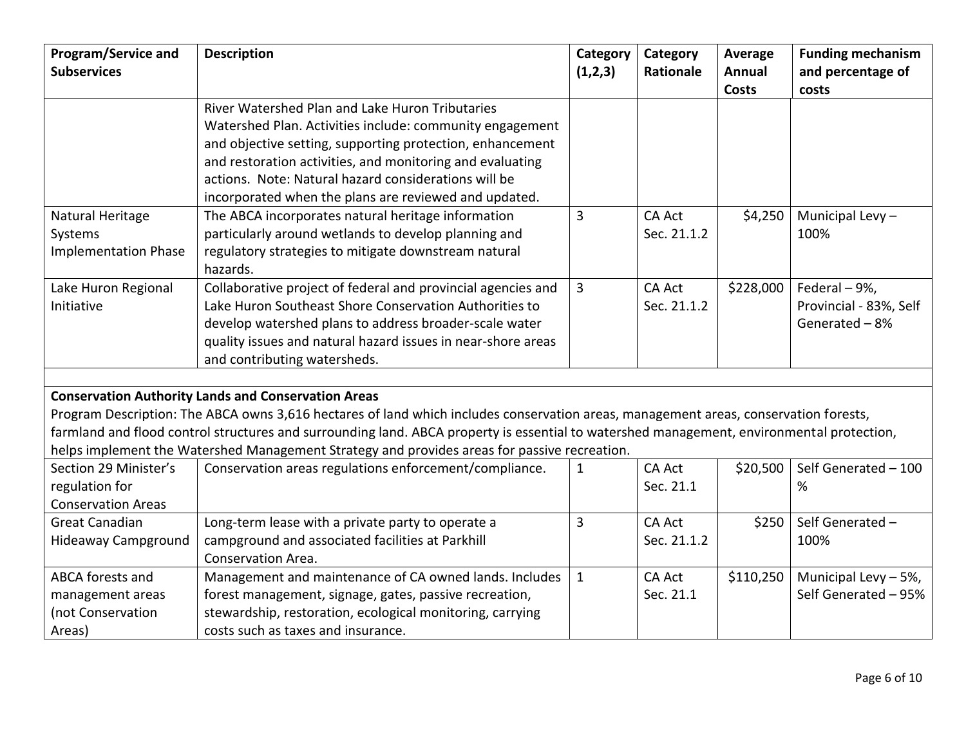| <b>Program/Service and</b><br><b>Subservices</b> | <b>Description</b>                                                                                                                        | Category<br>(1,2,3) | Category<br>Rationale | Average<br><b>Annual</b> | <b>Funding mechanism</b><br>and percentage of |
|--------------------------------------------------|-------------------------------------------------------------------------------------------------------------------------------------------|---------------------|-----------------------|--------------------------|-----------------------------------------------|
|                                                  |                                                                                                                                           |                     |                       | Costs                    | costs                                         |
|                                                  | River Watershed Plan and Lake Huron Tributaries                                                                                           |                     |                       |                          |                                               |
|                                                  | Watershed Plan. Activities include: community engagement                                                                                  |                     |                       |                          |                                               |
|                                                  | and objective setting, supporting protection, enhancement                                                                                 |                     |                       |                          |                                               |
|                                                  | and restoration activities, and monitoring and evaluating                                                                                 |                     |                       |                          |                                               |
|                                                  | actions. Note: Natural hazard considerations will be                                                                                      |                     |                       |                          |                                               |
|                                                  | incorporated when the plans are reviewed and updated.                                                                                     |                     |                       |                          |                                               |
| Natural Heritage                                 | The ABCA incorporates natural heritage information                                                                                        | 3                   | <b>CA Act</b>         | \$4,250                  | Municipal Levy-                               |
| Systems                                          | particularly around wetlands to develop planning and                                                                                      |                     | Sec. 21.1.2           |                          | 100%                                          |
| <b>Implementation Phase</b>                      | regulatory strategies to mitigate downstream natural<br>hazards.                                                                          |                     |                       |                          |                                               |
| Lake Huron Regional                              | Collaborative project of federal and provincial agencies and                                                                              | 3                   | <b>CA Act</b>         | \$228,000                | Federal - 9%,                                 |
| Initiative                                       | Lake Huron Southeast Shore Conservation Authorities to                                                                                    |                     | Sec. 21.1.2           |                          | Provincial - 83%, Self                        |
|                                                  | develop watershed plans to address broader-scale water                                                                                    |                     |                       |                          | Generated-8%                                  |
|                                                  | quality issues and natural hazard issues in near-shore areas                                                                              |                     |                       |                          |                                               |
|                                                  | and contributing watersheds.                                                                                                              |                     |                       |                          |                                               |
|                                                  |                                                                                                                                           |                     |                       |                          |                                               |
|                                                  | <b>Conservation Authority Lands and Conservation Areas</b>                                                                                |                     |                       |                          |                                               |
|                                                  | Program Description: The ABCA owns 3,616 hectares of land which includes conservation areas, management areas, conservation forests,      |                     |                       |                          |                                               |
|                                                  | farmland and flood control structures and surrounding land. ABCA property is essential to watershed management, environmental protection, |                     |                       |                          |                                               |
|                                                  | helps implement the Watershed Management Strategy and provides areas for passive recreation.                                              |                     |                       |                          |                                               |
| Section 29 Minister's                            | Conservation areas regulations enforcement/compliance.                                                                                    | $\mathbf{1}$        | <b>CA Act</b>         | \$20,500                 | Self Generated - 100                          |
| regulation for                                   |                                                                                                                                           |                     | Sec. 21.1             |                          | %                                             |
| <b>Conservation Areas</b>                        |                                                                                                                                           |                     |                       |                          |                                               |
| <b>Great Canadian</b>                            | Long-term lease with a private party to operate a                                                                                         | 3                   | <b>CA Act</b>         | \$250                    | Self Generated -                              |
| <b>Hideaway Campground</b>                       | campground and associated facilities at Parkhill                                                                                          |                     | Sec. 21.1.2           |                          | 100%                                          |
|                                                  | Conservation Area.                                                                                                                        |                     |                       |                          |                                               |
| ABCA forests and                                 | Management and maintenance of CA owned lands. Includes                                                                                    | $\mathbf{1}$        | <b>CA Act</b>         | \$110,250                | Municipal Levy - 5%,                          |
| management areas                                 | forest management, signage, gates, passive recreation,                                                                                    |                     | Sec. 21.1             |                          | Self Generated - 95%                          |
| (not Conservation                                | stewardship, restoration, ecological monitoring, carrying                                                                                 |                     |                       |                          |                                               |
| Areas)                                           | costs such as taxes and insurance.                                                                                                        |                     |                       |                          |                                               |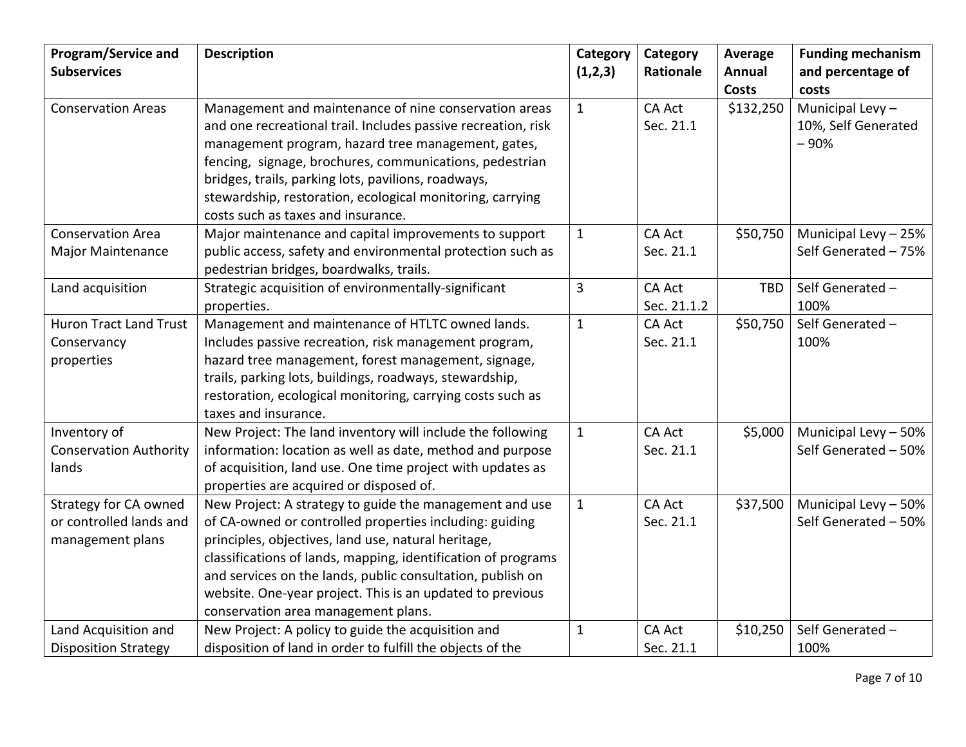| Program/Service and<br><b>Subservices</b>                                   | <b>Description</b>                                                                                                                                                                                                                                                                                                                                                                                           | Category<br>(1,2,3) | Category<br><b>Rationale</b> | Average<br>Annual<br>Costs | <b>Funding mechanism</b><br>and percentage of<br>costs |
|-----------------------------------------------------------------------------|--------------------------------------------------------------------------------------------------------------------------------------------------------------------------------------------------------------------------------------------------------------------------------------------------------------------------------------------------------------------------------------------------------------|---------------------|------------------------------|----------------------------|--------------------------------------------------------|
| <b>Conservation Areas</b>                                                   | Management and maintenance of nine conservation areas<br>and one recreational trail. Includes passive recreation, risk<br>management program, hazard tree management, gates,<br>fencing, signage, brochures, communications, pedestrian<br>bridges, trails, parking lots, pavilions, roadways,<br>stewardship, restoration, ecological monitoring, carrying<br>costs such as taxes and insurance.            | $\mathbf{1}$        | <b>CA Act</b><br>Sec. 21.1   | \$132,250                  | Municipal Levy-<br>10%, Self Generated<br>$-90%$       |
| <b>Conservation Area</b><br><b>Major Maintenance</b>                        | Major maintenance and capital improvements to support<br>public access, safety and environmental protection such as<br>pedestrian bridges, boardwalks, trails.                                                                                                                                                                                                                                               | $\mathbf{1}$        | <b>CA Act</b><br>Sec. 21.1   | \$50,750                   | Municipal Levy - 25%<br>Self Generated - 75%           |
| Land acquisition                                                            | Strategic acquisition of environmentally-significant<br>properties.                                                                                                                                                                                                                                                                                                                                          | 3                   | <b>CA Act</b><br>Sec. 21.1.2 | <b>TBD</b>                 | Self Generated -<br>100%                               |
| <b>Huron Tract Land Trust</b><br>Conservancy<br>properties                  | Management and maintenance of HTLTC owned lands.<br>Includes passive recreation, risk management program,<br>hazard tree management, forest management, signage,<br>trails, parking lots, buildings, roadways, stewardship,<br>restoration, ecological monitoring, carrying costs such as<br>taxes and insurance.                                                                                            | $\mathbf{1}$        | <b>CA Act</b><br>Sec. 21.1   | \$50,750                   | Self Generated -<br>100%                               |
| Inventory of<br><b>Conservation Authority</b><br>lands                      | New Project: The land inventory will include the following<br>information: location as well as date, method and purpose<br>of acquisition, land use. One time project with updates as<br>properties are acquired or disposed of.                                                                                                                                                                             | $\mathbf{1}$        | <b>CA Act</b><br>Sec. 21.1   | \$5,000                    | Municipal Levy - 50%<br>Self Generated - 50%           |
| <b>Strategy for CA owned</b><br>or controlled lands and<br>management plans | New Project: A strategy to guide the management and use<br>of CA-owned or controlled properties including: guiding<br>principles, objectives, land use, natural heritage,<br>classifications of lands, mapping, identification of programs<br>and services on the lands, public consultation, publish on<br>website. One-year project. This is an updated to previous<br>conservation area management plans. | $\mathbf{1}$        | <b>CA Act</b><br>Sec. 21.1   | \$37,500                   | Municipal Levy - 50%<br>Self Generated - 50%           |
| Land Acquisition and<br><b>Disposition Strategy</b>                         | New Project: A policy to guide the acquisition and<br>disposition of land in order to fulfill the objects of the                                                                                                                                                                                                                                                                                             | 1                   | <b>CA Act</b><br>Sec. 21.1   | \$10,250                   | Self Generated -<br>100%                               |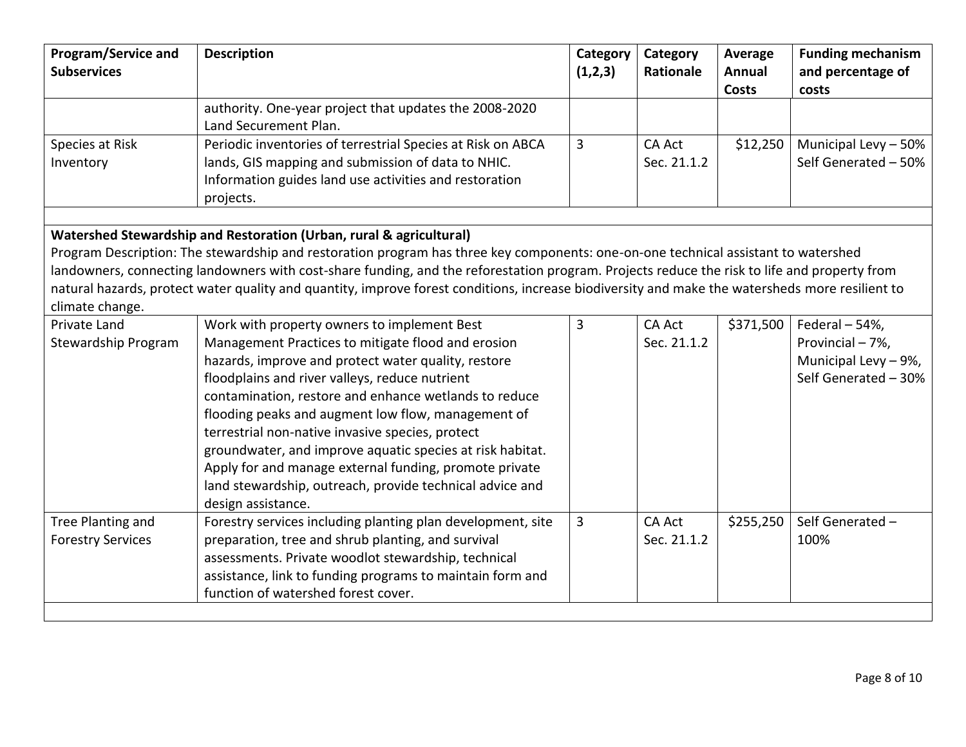| <b>Program/Service and</b><br><b>Subservices</b>                    | <b>Description</b>                                                                                                                              | Category<br>(1,2,3) | Category<br>Rationale | Average<br>Annual | <b>Funding mechanism</b><br>and percentage of |  |
|---------------------------------------------------------------------|-------------------------------------------------------------------------------------------------------------------------------------------------|---------------------|-----------------------|-------------------|-----------------------------------------------|--|
|                                                                     |                                                                                                                                                 |                     |                       | <b>Costs</b>      | costs                                         |  |
|                                                                     | authority. One-year project that updates the 2008-2020                                                                                          |                     |                       |                   |                                               |  |
|                                                                     | Land Securement Plan.                                                                                                                           |                     |                       |                   |                                               |  |
| Species at Risk                                                     | Periodic inventories of terrestrial Species at Risk on ABCA                                                                                     | 3                   | CA Act                | \$12,250          | Municipal Levy - 50%                          |  |
| Inventory                                                           | lands, GIS mapping and submission of data to NHIC.                                                                                              |                     | Sec. 21.1.2           |                   | Self Generated - 50%                          |  |
|                                                                     | Information guides land use activities and restoration                                                                                          |                     |                       |                   |                                               |  |
|                                                                     | projects.                                                                                                                                       |                     |                       |                   |                                               |  |
|                                                                     |                                                                                                                                                 |                     |                       |                   |                                               |  |
| Watershed Stewardship and Restoration (Urban, rural & agricultural) |                                                                                                                                                 |                     |                       |                   |                                               |  |
|                                                                     | Program Description: The stewardship and restoration program has three key components: one-on-one technical assistant to watershed              |                     |                       |                   |                                               |  |
|                                                                     | landowners, connecting landowners with cost-share funding, and the reforestation program. Projects reduce the risk to life and property from    |                     |                       |                   |                                               |  |
|                                                                     | natural hazards, protect water quality and quantity, improve forest conditions, increase biodiversity and make the watersheds more resilient to |                     |                       |                   |                                               |  |
| climate change.                                                     |                                                                                                                                                 |                     |                       |                   |                                               |  |
| Private Land                                                        | Work with property owners to implement Best                                                                                                     | 3                   | <b>CA Act</b>         | \$371,500         | Federal - 54%,                                |  |
| Stewardship Program                                                 | Management Practices to mitigate flood and erosion                                                                                              |                     | Sec. 21.1.2           |                   | Provincial - 7%,                              |  |
|                                                                     | hazards, improve and protect water quality, restore                                                                                             |                     |                       |                   | Municipal Levy - 9%,                          |  |
|                                                                     | floodplains and river valleys, reduce nutrient                                                                                                  |                     |                       |                   | Self Generated - 30%                          |  |
|                                                                     | contamination, restore and enhance wetlands to reduce                                                                                           |                     |                       |                   |                                               |  |
|                                                                     | flooding peaks and augment low flow, management of                                                                                              |                     |                       |                   |                                               |  |
|                                                                     | terrestrial non-native invasive species, protect                                                                                                |                     |                       |                   |                                               |  |
|                                                                     | groundwater, and improve aquatic species at risk habitat.                                                                                       |                     |                       |                   |                                               |  |
|                                                                     | Apply for and manage external funding, promote private                                                                                          |                     |                       |                   |                                               |  |
|                                                                     | land stewardship, outreach, provide technical advice and                                                                                        |                     |                       |                   |                                               |  |
|                                                                     | design assistance.                                                                                                                              |                     |                       |                   |                                               |  |
| Tree Planting and                                                   | Forestry services including planting plan development, site                                                                                     | 3                   | <b>CA Act</b>         | \$255,250         | Self Generated -                              |  |
| <b>Forestry Services</b>                                            | preparation, tree and shrub planting, and survival                                                                                              |                     | Sec. 21.1.2           |                   | 100%                                          |  |
|                                                                     | assessments. Private woodlot stewardship, technical                                                                                             |                     |                       |                   |                                               |  |
|                                                                     | assistance, link to funding programs to maintain form and                                                                                       |                     |                       |                   |                                               |  |
|                                                                     | function of watershed forest cover.                                                                                                             |                     |                       |                   |                                               |  |
|                                                                     |                                                                                                                                                 |                     |                       |                   |                                               |  |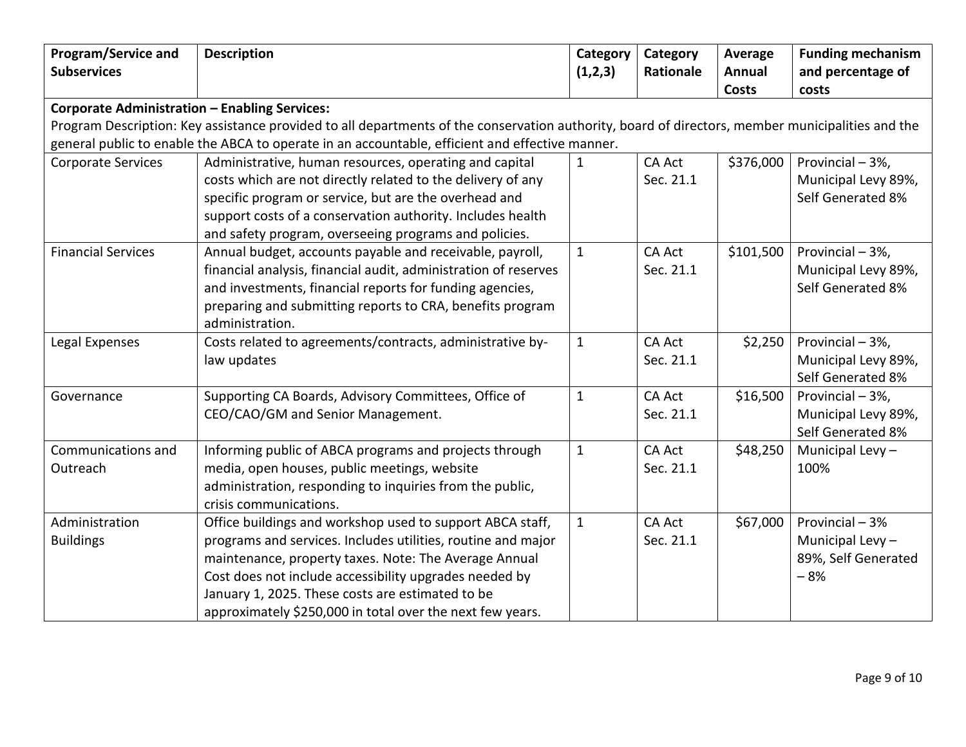| <b>Program/Service and</b><br><b>Subservices</b>                                                                                                                                                                                                    | <b>Description</b>                                              | Category<br>(1,2,3) | Category<br>Rationale | Average<br>Annual<br>Costs | <b>Funding mechanism</b><br>and percentage of |  |
|-----------------------------------------------------------------------------------------------------------------------------------------------------------------------------------------------------------------------------------------------------|-----------------------------------------------------------------|---------------------|-----------------------|----------------------------|-----------------------------------------------|--|
| <b>Corporate Administration - Enabling Services:</b>                                                                                                                                                                                                |                                                                 |                     |                       |                            | costs                                         |  |
|                                                                                                                                                                                                                                                     |                                                                 |                     |                       |                            |                                               |  |
| Program Description: Key assistance provided to all departments of the conservation authority, board of directors, member municipalities and the<br>general public to enable the ABCA to operate in an accountable, efficient and effective manner. |                                                                 |                     |                       |                            |                                               |  |
| <b>Corporate Services</b>                                                                                                                                                                                                                           | Administrative, human resources, operating and capital          | $\mathbf{1}$        | <b>CA Act</b>         | \$376,000                  | Provincial - 3%,                              |  |
|                                                                                                                                                                                                                                                     | costs which are not directly related to the delivery of any     |                     | Sec. 21.1             |                            | Municipal Levy 89%,                           |  |
|                                                                                                                                                                                                                                                     | specific program or service, but are the overhead and           |                     |                       |                            | Self Generated 8%                             |  |
|                                                                                                                                                                                                                                                     | support costs of a conservation authority. Includes health      |                     |                       |                            |                                               |  |
|                                                                                                                                                                                                                                                     | and safety program, overseeing programs and policies.           |                     |                       |                            |                                               |  |
| <b>Financial Services</b>                                                                                                                                                                                                                           | Annual budget, accounts payable and receivable, payroll,        | $\mathbf{1}$        | <b>CA Act</b>         | \$101,500                  | Provincial - 3%,                              |  |
|                                                                                                                                                                                                                                                     | financial analysis, financial audit, administration of reserves |                     | Sec. 21.1             |                            | Municipal Levy 89%,                           |  |
|                                                                                                                                                                                                                                                     | and investments, financial reports for funding agencies,        |                     |                       |                            | Self Generated 8%                             |  |
|                                                                                                                                                                                                                                                     | preparing and submitting reports to CRA, benefits program       |                     |                       |                            |                                               |  |
|                                                                                                                                                                                                                                                     | administration.                                                 |                     |                       |                            |                                               |  |
| Legal Expenses                                                                                                                                                                                                                                      | Costs related to agreements/contracts, administrative by-       | $\mathbf{1}$        | <b>CA Act</b>         | \$2,250                    | Provincial - 3%,                              |  |
|                                                                                                                                                                                                                                                     | law updates                                                     |                     | Sec. 21.1             |                            | Municipal Levy 89%,                           |  |
|                                                                                                                                                                                                                                                     |                                                                 |                     |                       |                            | Self Generated 8%                             |  |
| Governance                                                                                                                                                                                                                                          | Supporting CA Boards, Advisory Committees, Office of            | $\mathbf{1}$        | <b>CA Act</b>         | \$16,500                   | Provincial - 3%,                              |  |
|                                                                                                                                                                                                                                                     | CEO/CAO/GM and Senior Management.                               |                     | Sec. 21.1             |                            | Municipal Levy 89%,                           |  |
|                                                                                                                                                                                                                                                     |                                                                 |                     |                       |                            | Self Generated 8%                             |  |
| Communications and                                                                                                                                                                                                                                  | Informing public of ABCA programs and projects through          | $\mathbf{1}$        | <b>CA Act</b>         | \$48,250                   | Municipal Levy-                               |  |
| Outreach                                                                                                                                                                                                                                            | media, open houses, public meetings, website                    |                     | Sec. 21.1             |                            | 100%                                          |  |
|                                                                                                                                                                                                                                                     | administration, responding to inquiries from the public,        |                     |                       |                            |                                               |  |
|                                                                                                                                                                                                                                                     | crisis communications.                                          |                     |                       |                            |                                               |  |
| Administration                                                                                                                                                                                                                                      | Office buildings and workshop used to support ABCA staff,       | $\mathbf{1}$        | <b>CA Act</b>         | \$67,000                   | Provincial - 3%                               |  |
| <b>Buildings</b>                                                                                                                                                                                                                                    | programs and services. Includes utilities, routine and major    |                     | Sec. 21.1             |                            | Municipal Levy-                               |  |
|                                                                                                                                                                                                                                                     | maintenance, property taxes. Note: The Average Annual           |                     |                       |                            | 89%, Self Generated                           |  |
|                                                                                                                                                                                                                                                     | Cost does not include accessibility upgrades needed by          |                     |                       |                            | $-8%$                                         |  |
|                                                                                                                                                                                                                                                     | January 1, 2025. These costs are estimated to be                |                     |                       |                            |                                               |  |
|                                                                                                                                                                                                                                                     | approximately \$250,000 in total over the next few years.       |                     |                       |                            |                                               |  |